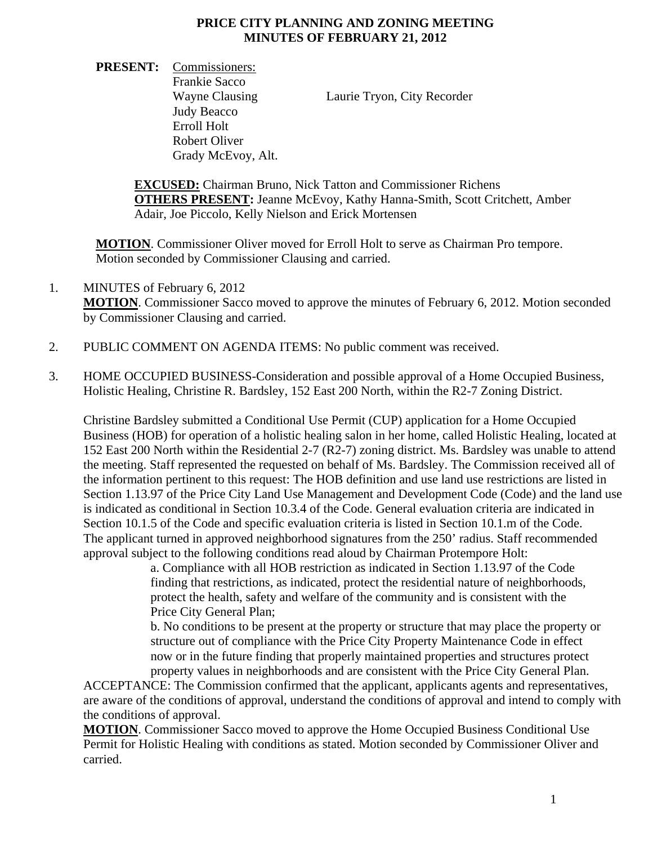## **PRICE CITY PLANNING AND ZONING MEETING MINUTES OF FEBRUARY 21, 2012**

**PRESENT:** Commissioners: Frankie Sacco Wayne Clausing Laurie Tryon, City Recorder Judy Beacco Erroll Holt Robert Oliver Grady McEvoy, Alt.

**EXCUSED:** Chairman Bruno, Nick Tatton and Commissioner Richens **OTHERS PRESENT:** Jeanne McEvoy, Kathy Hanna-Smith, Scott Critchett, Amber Adair, Joe Piccolo, Kelly Nielson and Erick Mortensen

**MOTION**. Commissioner Oliver moved for Erroll Holt to serve as Chairman Pro tempore. Motion seconded by Commissioner Clausing and carried.

- 1. MINUTES of February 6, 2012 **MOTION**. Commissioner Sacco moved to approve the minutes of February 6, 2012. Motion seconded by Commissioner Clausing and carried.
- 2. PUBLIC COMMENT ON AGENDA ITEMS: No public comment was received.
- 3. HOME OCCUPIED BUSINESS-Consideration and possible approval of a Home Occupied Business, Holistic Healing, Christine R. Bardsley, 152 East 200 North, within the R2-7 Zoning District.

Christine Bardsley submitted a Conditional Use Permit (CUP) application for a Home Occupied Business (HOB) for operation of a holistic healing salon in her home, called Holistic Healing, located at 152 East 200 North within the Residential 2-7 (R2-7) zoning district. Ms. Bardsley was unable to attend the meeting. Staff represented the requested on behalf of Ms. Bardsley. The Commission received all of the information pertinent to this request: The HOB definition and use land use restrictions are listed in Section 1.13.97 of the Price City Land Use Management and Development Code (Code) and the land use is indicated as conditional in Section 10.3.4 of the Code. General evaluation criteria are indicated in Section 10.1.5 of the Code and specific evaluation criteria is listed in Section 10.1.m of the Code. The applicant turned in approved neighborhood signatures from the 250' radius. Staff recommended approval subject to the following conditions read aloud by Chairman Protempore Holt:

> a. Compliance with all HOB restriction as indicated in Section 1.13.97 of the Code finding that restrictions, as indicated, protect the residential nature of neighborhoods, protect the health, safety and welfare of the community and is consistent with the Price City General Plan;

 b. No conditions to be present at the property or structure that may place the property or structure out of compliance with the Price City Property Maintenance Code in effect now or in the future finding that properly maintained properties and structures protect property values in neighborhoods and are consistent with the Price City General Plan.

ACCEPTANCE: The Commission confirmed that the applicant, applicants agents and representatives, are aware of the conditions of approval, understand the conditions of approval and intend to comply with the conditions of approval.

**MOTION**. Commissioner Sacco moved to approve the Home Occupied Business Conditional Use Permit for Holistic Healing with conditions as stated. Motion seconded by Commissioner Oliver and carried.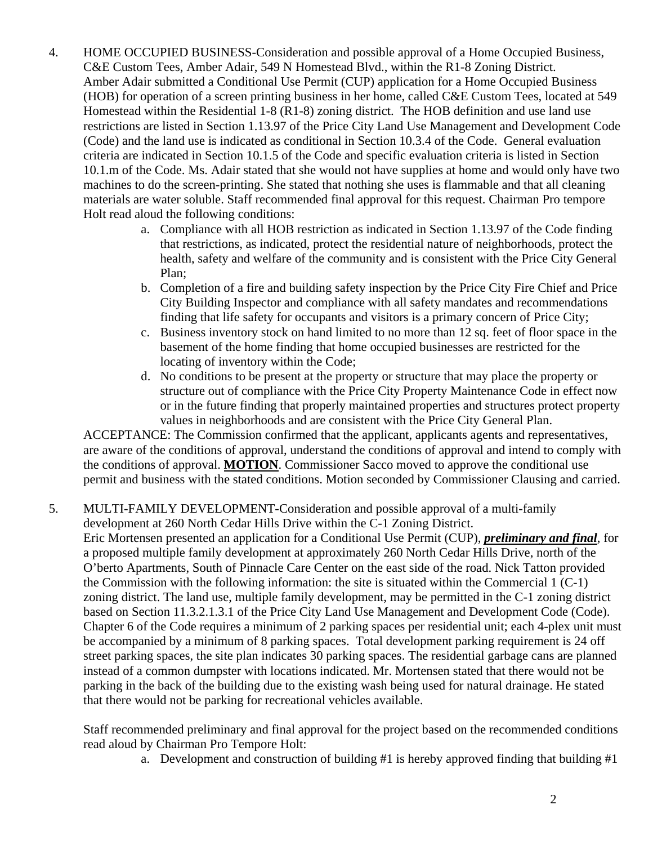- 4. HOME OCCUPIED BUSINESS-Consideration and possible approval of a Home Occupied Business, C&E Custom Tees, Amber Adair, 549 N Homestead Blvd., within the R1-8 Zoning District. Amber Adair submitted a Conditional Use Permit (CUP) application for a Home Occupied Business (HOB) for operation of a screen printing business in her home, called C&E Custom Tees, located at 549 Homestead within the Residential 1-8 (R1-8) zoning district. The HOB definition and use land use restrictions are listed in Section 1.13.97 of the Price City Land Use Management and Development Code (Code) and the land use is indicated as conditional in Section 10.3.4 of the Code. General evaluation criteria are indicated in Section 10.1.5 of the Code and specific evaluation criteria is listed in Section 10.1.m of the Code. Ms. Adair stated that she would not have supplies at home and would only have two machines to do the screen-printing. She stated that nothing she uses is flammable and that all cleaning materials are water soluble. Staff recommended final approval for this request. Chairman Pro tempore Holt read aloud the following conditions:
	- a. Compliance with all HOB restriction as indicated in Section 1.13.97 of the Code finding that restrictions, as indicated, protect the residential nature of neighborhoods, protect the health, safety and welfare of the community and is consistent with the Price City General Plan;
	- b. Completion of a fire and building safety inspection by the Price City Fire Chief and Price City Building Inspector and compliance with all safety mandates and recommendations finding that life safety for occupants and visitors is a primary concern of Price City;
	- c. Business inventory stock on hand limited to no more than 12 sq. feet of floor space in the basement of the home finding that home occupied businesses are restricted for the locating of inventory within the Code;
	- d. No conditions to be present at the property or structure that may place the property or structure out of compliance with the Price City Property Maintenance Code in effect now or in the future finding that properly maintained properties and structures protect property values in neighborhoods and are consistent with the Price City General Plan.

ACCEPTANCE: The Commission confirmed that the applicant, applicants agents and representatives, are aware of the conditions of approval, understand the conditions of approval and intend to comply with the conditions of approval. **MOTION**. Commissioner Sacco moved to approve the conditional use permit and business with the stated conditions. Motion seconded by Commissioner Clausing and carried.

5. MULTI-FAMILY DEVELOPMENT-Consideration and possible approval of a multi-family development at 260 North Cedar Hills Drive within the C-1 Zoning District.

Eric Mortensen presented an application for a Conditional Use Permit (CUP), *preliminary and final*, for a proposed multiple family development at approximately 260 North Cedar Hills Drive, north of the O'berto Apartments, South of Pinnacle Care Center on the east side of the road. Nick Tatton provided the Commission with the following information: the site is situated within the Commercial 1 (C-1) zoning district. The land use, multiple family development, may be permitted in the C-1 zoning district based on Section 11.3.2.1.3.1 of the Price City Land Use Management and Development Code (Code). Chapter 6 of the Code requires a minimum of 2 parking spaces per residential unit; each 4-plex unit must be accompanied by a minimum of 8 parking spaces. Total development parking requirement is 24 off street parking spaces, the site plan indicates 30 parking spaces. The residential garbage cans are planned instead of a common dumpster with locations indicated. Mr. Mortensen stated that there would not be parking in the back of the building due to the existing wash being used for natural drainage. He stated that there would not be parking for recreational vehicles available.

Staff recommended preliminary and final approval for the project based on the recommended conditions read aloud by Chairman Pro Tempore Holt:

a. Development and construction of building #1 is hereby approved finding that building #1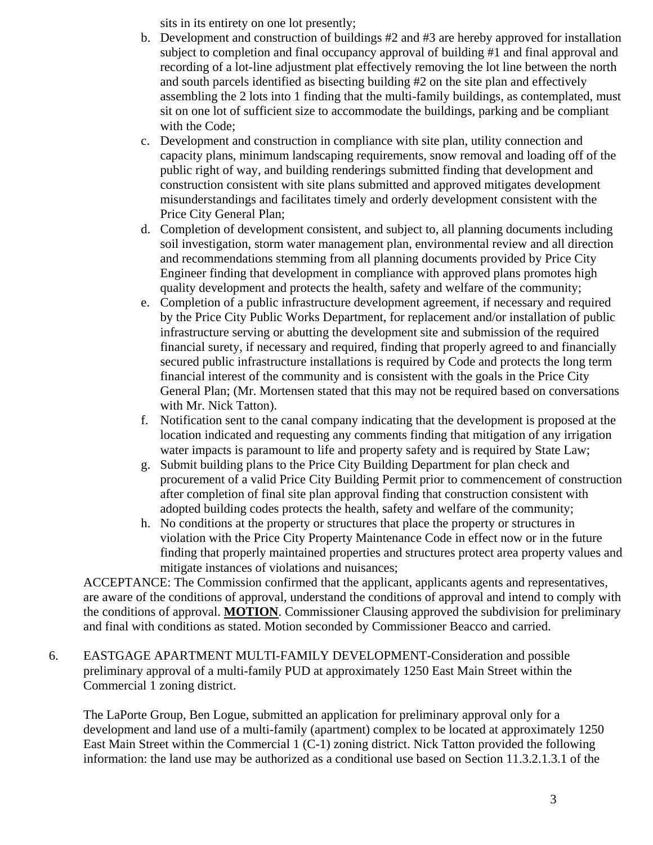sits in its entirety on one lot presently;

- b. Development and construction of buildings #2 and #3 are hereby approved for installation subject to completion and final occupancy approval of building #1 and final approval and recording of a lot-line adjustment plat effectively removing the lot line between the north and south parcels identified as bisecting building #2 on the site plan and effectively assembling the 2 lots into 1 finding that the multi-family buildings, as contemplated, must sit on one lot of sufficient size to accommodate the buildings, parking and be compliant with the Code;
- c. Development and construction in compliance with site plan, utility connection and capacity plans, minimum landscaping requirements, snow removal and loading off of the public right of way, and building renderings submitted finding that development and construction consistent with site plans submitted and approved mitigates development misunderstandings and facilitates timely and orderly development consistent with the Price City General Plan;
- d. Completion of development consistent, and subject to, all planning documents including soil investigation, storm water management plan, environmental review and all direction and recommendations stemming from all planning documents provided by Price City Engineer finding that development in compliance with approved plans promotes high quality development and protects the health, safety and welfare of the community;
- e. Completion of a public infrastructure development agreement, if necessary and required by the Price City Public Works Department, for replacement and/or installation of public infrastructure serving or abutting the development site and submission of the required financial surety, if necessary and required, finding that properly agreed to and financially secured public infrastructure installations is required by Code and protects the long term financial interest of the community and is consistent with the goals in the Price City General Plan; (Mr. Mortensen stated that this may not be required based on conversations with Mr. Nick Tatton).
- f. Notification sent to the canal company indicating that the development is proposed at the location indicated and requesting any comments finding that mitigation of any irrigation water impacts is paramount to life and property safety and is required by State Law;
- g. Submit building plans to the Price City Building Department for plan check and procurement of a valid Price City Building Permit prior to commencement of construction after completion of final site plan approval finding that construction consistent with adopted building codes protects the health, safety and welfare of the community;
- h. No conditions at the property or structures that place the property or structures in violation with the Price City Property Maintenance Code in effect now or in the future finding that properly maintained properties and structures protect area property values and mitigate instances of violations and nuisances;

ACCEPTANCE: The Commission confirmed that the applicant, applicants agents and representatives, are aware of the conditions of approval, understand the conditions of approval and intend to comply with the conditions of approval. **MOTION**. Commissioner Clausing approved the subdivision for preliminary and final with conditions as stated. Motion seconded by Commissioner Beacco and carried.

6. EASTGAGE APARTMENT MULTI-FAMILY DEVELOPMENT-Consideration and possible preliminary approval of a multi-family PUD at approximately 1250 East Main Street within the Commercial 1 zoning district.

The LaPorte Group, Ben Logue, submitted an application for preliminary approval only for a development and land use of a multi-family (apartment) complex to be located at approximately 1250 East Main Street within the Commercial 1 (C-1) zoning district. Nick Tatton provided the following information: the land use may be authorized as a conditional use based on Section 11.3.2.1.3.1 of the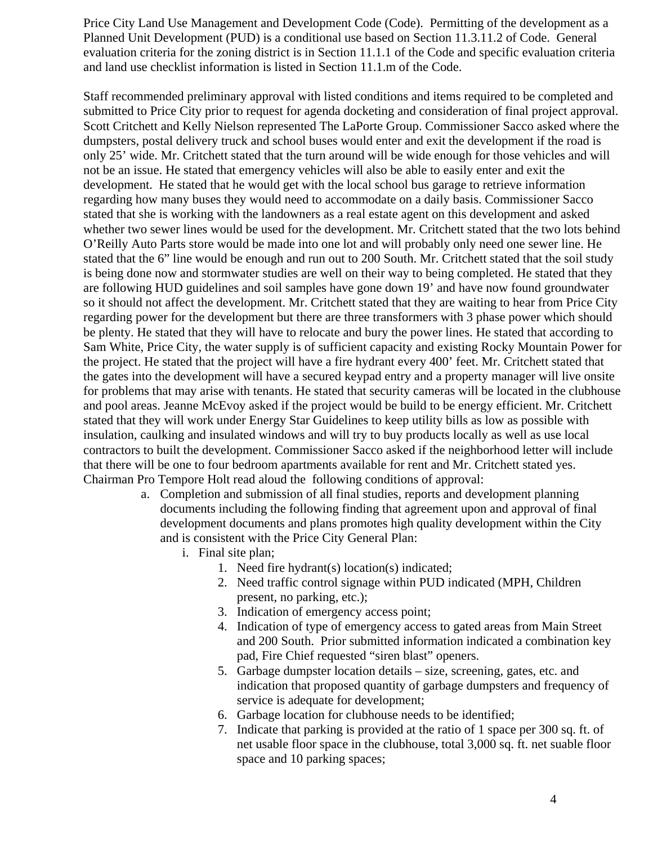Price City Land Use Management and Development Code (Code). Permitting of the development as a Planned Unit Development (PUD) is a conditional use based on Section 11.3.11.2 of Code. General evaluation criteria for the zoning district is in Section 11.1.1 of the Code and specific evaluation criteria and land use checklist information is listed in Section 11.1.m of the Code.

Staff recommended preliminary approval with listed conditions and items required to be completed and submitted to Price City prior to request for agenda docketing and consideration of final project approval. Scott Critchett and Kelly Nielson represented The LaPorte Group. Commissioner Sacco asked where the dumpsters, postal delivery truck and school buses would enter and exit the development if the road is only 25' wide. Mr. Critchett stated that the turn around will be wide enough for those vehicles and will not be an issue. He stated that emergency vehicles will also be able to easily enter and exit the development. He stated that he would get with the local school bus garage to retrieve information regarding how many buses they would need to accommodate on a daily basis. Commissioner Sacco stated that she is working with the landowners as a real estate agent on this development and asked whether two sewer lines would be used for the development. Mr. Critchett stated that the two lots behind O'Reilly Auto Parts store would be made into one lot and will probably only need one sewer line. He stated that the 6" line would be enough and run out to 200 South. Mr. Critchett stated that the soil study is being done now and stormwater studies are well on their way to being completed. He stated that they are following HUD guidelines and soil samples have gone down 19' and have now found groundwater so it should not affect the development. Mr. Critchett stated that they are waiting to hear from Price City regarding power for the development but there are three transformers with 3 phase power which should be plenty. He stated that they will have to relocate and bury the power lines. He stated that according to Sam White, Price City, the water supply is of sufficient capacity and existing Rocky Mountain Power for the project. He stated that the project will have a fire hydrant every 400' feet. Mr. Critchett stated that the gates into the development will have a secured keypad entry and a property manager will live onsite for problems that may arise with tenants. He stated that security cameras will be located in the clubhouse and pool areas. Jeanne McEvoy asked if the project would be build to be energy efficient. Mr. Critchett stated that they will work under Energy Star Guidelines to keep utility bills as low as possible with insulation, caulking and insulated windows and will try to buy products locally as well as use local contractors to built the development. Commissioner Sacco asked if the neighborhood letter will include that there will be one to four bedroom apartments available for rent and Mr. Critchett stated yes. Chairman Pro Tempore Holt read aloud the following conditions of approval:

- a. Completion and submission of all final studies, reports and development planning documents including the following finding that agreement upon and approval of final development documents and plans promotes high quality development within the City and is consistent with the Price City General Plan:
	- i. Final site plan;
		- 1. Need fire hydrant(s) location(s) indicated;
		- 2. Need traffic control signage within PUD indicated (MPH, Children present, no parking, etc.);
		- 3. Indication of emergency access point;
		- 4. Indication of type of emergency access to gated areas from Main Street and 200 South. Prior submitted information indicated a combination key pad, Fire Chief requested "siren blast" openers.
		- 5. Garbage dumpster location details size, screening, gates, etc. and indication that proposed quantity of garbage dumpsters and frequency of service is adequate for development;
		- 6. Garbage location for clubhouse needs to be identified;
		- 7. Indicate that parking is provided at the ratio of 1 space per 300 sq. ft. of net usable floor space in the clubhouse, total 3,000 sq. ft. net suable floor space and 10 parking spaces;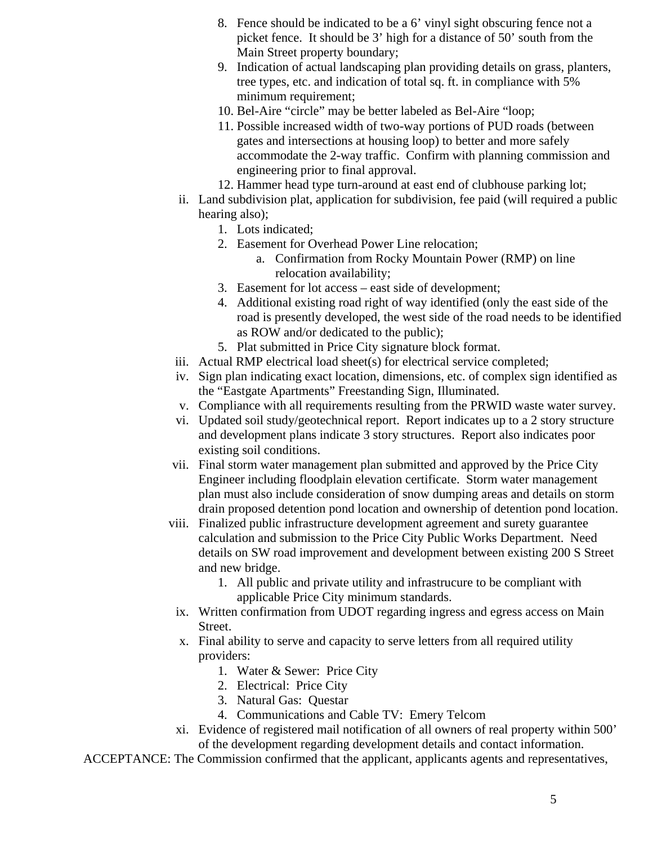- 8. Fence should be indicated to be a 6' vinyl sight obscuring fence not a picket fence. It should be 3' high for a distance of 50' south from the Main Street property boundary;
- 9. Indication of actual landscaping plan providing details on grass, planters, tree types, etc. and indication of total sq. ft. in compliance with 5% minimum requirement;
- 10. Bel-Aire "circle" may be better labeled as Bel-Aire "loop;
- 11. Possible increased width of two-way portions of PUD roads (between gates and intersections at housing loop) to better and more safely accommodate the 2-way traffic. Confirm with planning commission and engineering prior to final approval.
- 12. Hammer head type turn-around at east end of clubhouse parking lot;
- ii. Land subdivision plat, application for subdivision, fee paid (will required a public hearing also);
	- 1. Lots indicated;
	- 2. Easement for Overhead Power Line relocation;
		- a. Confirmation from Rocky Mountain Power (RMP) on line relocation availability;
	- 3. Easement for lot access east side of development;
	- 4. Additional existing road right of way identified (only the east side of the road is presently developed, the west side of the road needs to be identified as ROW and/or dedicated to the public);
	- 5. Plat submitted in Price City signature block format.
- iii. Actual RMP electrical load sheet(s) for electrical service completed;
- iv. Sign plan indicating exact location, dimensions, etc. of complex sign identified as the "Eastgate Apartments" Freestanding Sign, Illuminated.
- v. Compliance with all requirements resulting from the PRWID waste water survey.
- vi. Updated soil study/geotechnical report. Report indicates up to a 2 story structure and development plans indicate 3 story structures. Report also indicates poor existing soil conditions.
- vii. Final storm water management plan submitted and approved by the Price City Engineer including floodplain elevation certificate. Storm water management plan must also include consideration of snow dumping areas and details on storm drain proposed detention pond location and ownership of detention pond location.
- viii. Finalized public infrastructure development agreement and surety guarantee calculation and submission to the Price City Public Works Department. Need details on SW road improvement and development between existing 200 S Street and new bridge.
	- 1. All public and private utility and infrastrucure to be compliant with applicable Price City minimum standards.
	- ix. Written confirmation from UDOT regarding ingress and egress access on Main Street.
	- x. Final ability to serve and capacity to serve letters from all required utility providers:
		- 1. Water & Sewer: Price City
		- 2. Electrical: Price City
		- 3. Natural Gas: Questar
		- 4. Communications and Cable TV: Emery Telcom
- xi. Evidence of registered mail notification of all owners of real property within 500' of the development regarding development details and contact information.

ACCEPTANCE: The Commission confirmed that the applicant, applicants agents and representatives,